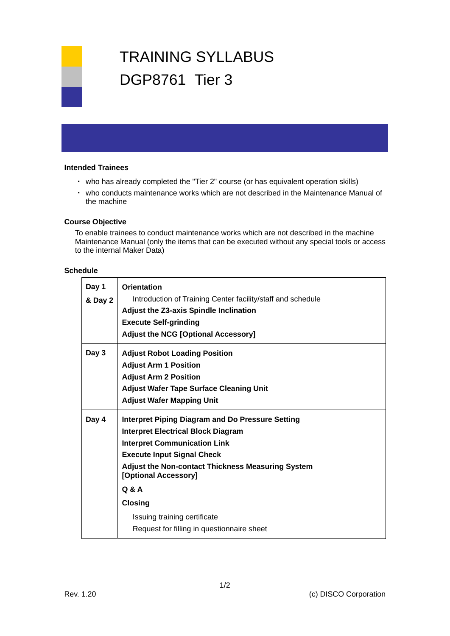# TRAINING SYLLABUS DGP8761 Tier 3

#### **Intended Trainees**

- ・ who has already completed the "Tier 2" course (or has equivalent operation skills)
- ・ who conducts maintenance works which are not described in the Maintenance Manual of the machine

#### **Course Objective**

To enable trainees to conduct maintenance works which are not described in the machine Maintenance Manual (only the items that can be executed without any special tools or access to the internal Maker Data)

### **Schedule**

| Day 1<br>& Day 2 | Orientation<br>Introduction of Training Center facility/staff and schedule<br>Adjust the Z3-axis Spindle Inclination<br><b>Execute Self-grinding</b><br><b>Adjust the NCG [Optional Accessory]</b>                                                                                                                                                                            |
|------------------|-------------------------------------------------------------------------------------------------------------------------------------------------------------------------------------------------------------------------------------------------------------------------------------------------------------------------------------------------------------------------------|
| Day 3            | <b>Adjust Robot Loading Position</b><br><b>Adjust Arm 1 Position</b><br><b>Adjust Arm 2 Position</b><br><b>Adjust Wafer Tape Surface Cleaning Unit</b><br><b>Adjust Wafer Mapping Unit</b>                                                                                                                                                                                    |
| Day 4            | <b>Interpret Piping Diagram and Do Pressure Setting</b><br><b>Interpret Electrical Block Diagram</b><br><b>Interpret Communication Link</b><br><b>Execute Input Signal Check</b><br><b>Adjust the Non-contact Thickness Measuring System</b><br>[Optional Accessory]<br>Q & A<br><b>Closing</b><br>Issuing training certificate<br>Request for filling in questionnaire sheet |